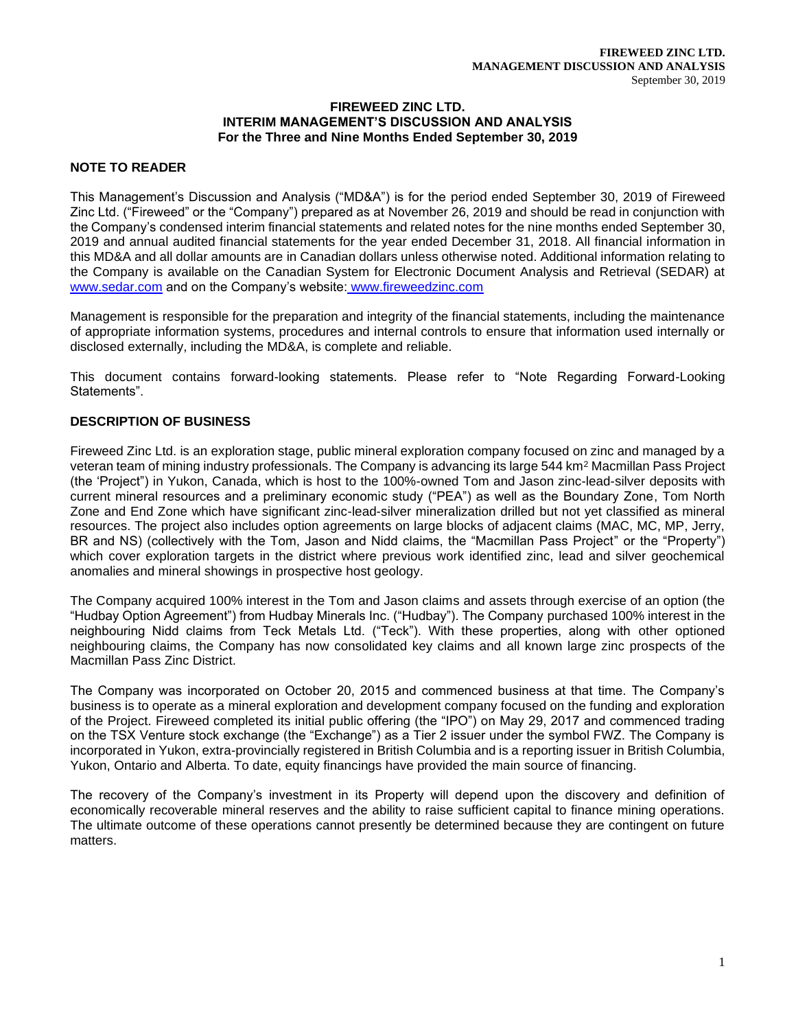## **FIREWEED ZINC LTD. INTERIM MANAGEMENT'S DISCUSSION AND ANALYSIS For the Three and Nine Months Ended September 30, 2019**

# **NOTE TO READER**

This Management's Discussion and Analysis ("MD&A") is for the period ended September 30, 2019 of Fireweed Zinc Ltd. ("Fireweed" or the "Company") prepared as at November 26, 2019 and should be read in conjunction with the Company's condensed interim financial statements and related notes for the nine months ended September 30, 2019 and annual audited financial statements for the year ended December 31, 2018. All financial information in this MD&A and all dollar amounts are in Canadian dollars unless otherwise noted. Additional information relating to the Company is available on the Canadian System for Electronic Document Analysis and Retrieval (SEDAR) at [www.sedar.com](about:blank) and on the Company's website: www.fireweedzinc.com

Management is responsible for the preparation and integrity of the financial statements, including the maintenance of appropriate information systems, procedures and internal controls to ensure that information used internally or disclosed externally, including the MD&A, is complete and reliable.

This document contains forward-looking statements. Please refer to "Note Regarding Forward-Looking Statements".

# **DESCRIPTION OF BUSINESS**

Fireweed Zinc Ltd. is an exploration stage, public mineral exploration company focused on zinc and managed by a veteran team of mining industry professionals. The Company is advancing its large 544 km<sup>2</sup> Macmillan Pass Project (the 'Project") in Yukon, Canada, which is host to the 100%-owned Tom and Jason zinc-lead-silver deposits with current mineral resources and a preliminary economic study ("PEA") as well as the Boundary Zone, Tom North Zone and End Zone which have significant zinc-lead-silver mineralization drilled but not yet classified as mineral resources. The project also includes option agreements on large blocks of adjacent claims (MAC, MC, MP, Jerry, BR and NS) (collectively with the Tom, Jason and Nidd claims, the "Macmillan Pass Project" or the "Property") which cover exploration targets in the district where previous work identified zinc, lead and silver geochemical anomalies and mineral showings in prospective host geology.

The Company acquired 100% interest in the Tom and Jason claims and assets through exercise of an option (the "Hudbay Option Agreement") from Hudbay Minerals Inc. ("Hudbay"). The Company purchased 100% interest in the neighbouring Nidd claims from Teck Metals Ltd. ("Teck"). With these properties, along with other optioned neighbouring claims, the Company has now consolidated key claims and all known large zinc prospects of the Macmillan Pass Zinc District.

The Company was incorporated on October 20, 2015 and commenced business at that time. The Company's business is to operate as a mineral exploration and development company focused on the funding and exploration of the Project. Fireweed completed its initial public offering (the "IPO") on May 29, 2017 and commenced trading on the TSX Venture stock exchange (the "Exchange") as a Tier 2 issuer under the symbol FWZ. The Company is incorporated in Yukon, extra-provincially registered in British Columbia and is a reporting issuer in British Columbia, Yukon, Ontario and Alberta. To date, equity financings have provided the main source of financing.

The recovery of the Company's investment in its Property will depend upon the discovery and definition of economically recoverable mineral reserves and the ability to raise sufficient capital to finance mining operations. The ultimate outcome of these operations cannot presently be determined because they are contingent on future matters.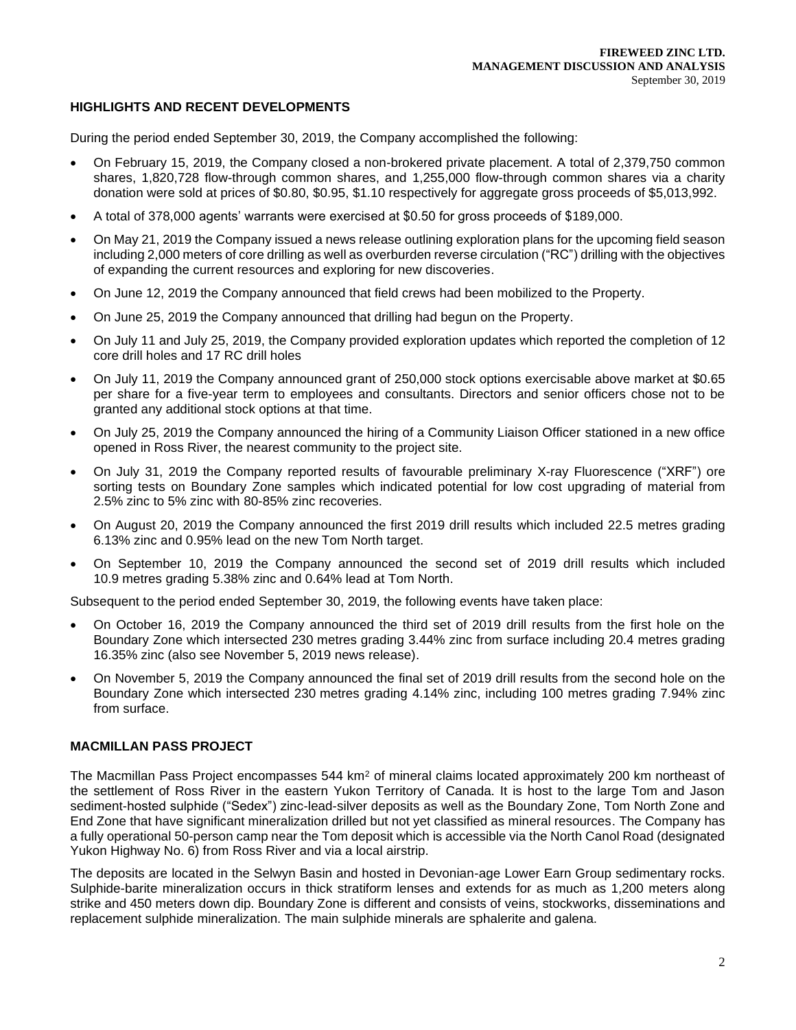# **HIGHLIGHTS AND RECENT DEVELOPMENTS**

During the period ended September 30, 2019, the Company accomplished the following:

- On February 15, 2019, the Company closed a non-brokered private placement. A total of 2,379,750 common shares, 1,820,728 flow-through common shares, and 1,255,000 flow-through common shares via a charity donation were sold at prices of \$0.80, \$0.95, \$1.10 respectively for aggregate gross proceeds of \$5,013,992.
- A total of 378,000 agents' warrants were exercised at \$0.50 for gross proceeds of \$189,000.
- On May 21, 2019 the Company issued a news release outlining exploration plans for the upcoming field season including 2,000 meters of core drilling as well as overburden reverse circulation ("RC") drilling with the objectives of expanding the current resources and exploring for new discoveries.
- On June 12, 2019 the Company announced that field crews had been mobilized to the Property.
- On June 25, 2019 the Company announced that drilling had begun on the Property.
- On July 11 and July 25, 2019, the Company provided exploration updates which reported the completion of 12 core drill holes and 17 RC drill holes
- On July 11, 2019 the Company announced grant of 250,000 stock options exercisable above market at \$0.65 per share for a five-year term to employees and consultants. Directors and senior officers chose not to be granted any additional stock options at that time.
- On July 25, 2019 the Company announced the hiring of a Community Liaison Officer stationed in a new office opened in Ross River, the nearest community to the project site.
- On July 31, 2019 the Company reported results of favourable preliminary X-ray Fluorescence ("XRF") ore sorting tests on Boundary Zone samples which indicated potential for low cost upgrading of material from 2.5% zinc to 5% zinc with 80-85% zinc recoveries.
- On August 20, 2019 the Company announced the first 2019 drill results which included 22.5 metres grading 6.13% zinc and 0.95% lead on the new Tom North target.
- On September 10, 2019 the Company announced the second set of 2019 drill results which included 10.9 metres grading 5.38% zinc and 0.64% lead at Tom North.

Subsequent to the period ended September 30, 2019, the following events have taken place:

- On October 16, 2019 the Company announced the third set of 2019 drill results from the first hole on the Boundary Zone which intersected 230 metres grading 3.44% zinc from surface including 20.4 metres grading 16.35% zinc (also see November 5, 2019 news release).
- On November 5, 2019 the Company announced the final set of 2019 drill results from the second hole on the Boundary Zone which intersected 230 metres grading 4.14% zinc, including 100 metres grading 7.94% zinc from surface.

## **MACMILLAN PASS PROJECT**

The Macmillan Pass Project encompasses 544 km<sup>2</sup> of mineral claims located approximately 200 km northeast of the settlement of Ross River in the eastern Yukon Territory of Canada. It is host to the large Tom and Jason sediment-hosted sulphide ("Sedex") zinc-lead-silver deposits as well as the Boundary Zone, Tom North Zone and End Zone that have significant mineralization drilled but not yet classified as mineral resources. The Company has a fully operational 50-person camp near the Tom deposit which is accessible via the North Canol Road (designated Yukon Highway No. 6) from Ross River and via a local airstrip.

The deposits are located in the Selwyn Basin and hosted in Devonian-age Lower Earn Group sedimentary rocks. Sulphide-barite mineralization occurs in thick stratiform lenses and extends for as much as 1,200 meters along strike and 450 meters down dip. Boundary Zone is different and consists of veins, stockworks, disseminations and replacement sulphide mineralization. The main sulphide minerals are sphalerite and galena.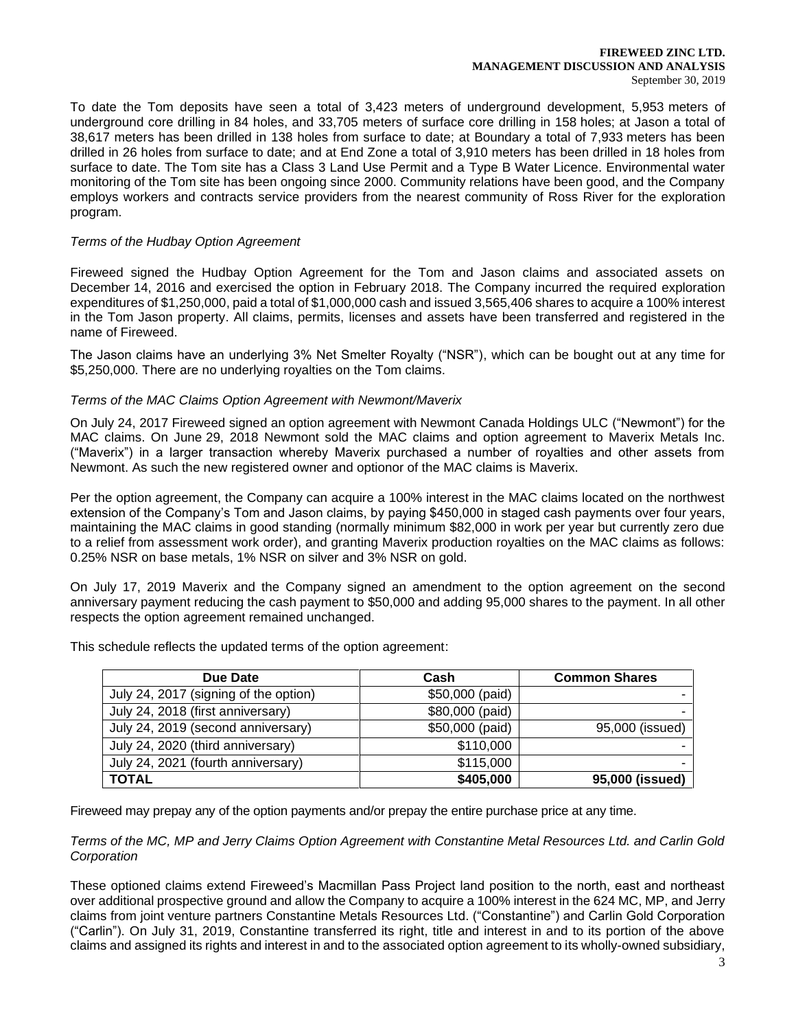#### **FIREWEED ZINC LTD. MANAGEMENT DISCUSSION AND ANALYSIS** September 30, 2019

To date the Tom deposits have seen a total of 3,423 meters of underground development, 5,953 meters of underground core drilling in 84 holes, and 33,705 meters of surface core drilling in 158 holes; at Jason a total of 38,617 meters has been drilled in 138 holes from surface to date; at Boundary a total of 7,933 meters has been drilled in 26 holes from surface to date; and at End Zone a total of 3,910 meters has been drilled in 18 holes from surface to date. The Tom site has a Class 3 Land Use Permit and a Type B Water Licence. Environmental water monitoring of the Tom site has been ongoing since 2000. Community relations have been good, and the Company employs workers and contracts service providers from the nearest community of Ross River for the exploration program.

## *Terms of the Hudbay Option Agreement*

Fireweed signed the Hudbay Option Agreement for the Tom and Jason claims and associated assets on December 14, 2016 and exercised the option in February 2018. The Company incurred the required exploration expenditures of \$1,250,000, paid a total of \$1,000,000 cash and issued 3,565,406 shares to acquire a 100% interest in the Tom Jason property. All claims, permits, licenses and assets have been transferred and registered in the name of Fireweed.

The Jason claims have an underlying 3% Net Smelter Royalty ("NSR"), which can be bought out at any time for \$5,250,000. There are no underlying royalties on the Tom claims.

# *Terms of the MAC Claims Option Agreement with Newmont/Maverix*

On July 24, 2017 Fireweed signed an option agreement with Newmont Canada Holdings ULC ("Newmont") for the MAC claims. On June 29, 2018 Newmont sold the MAC claims and option agreement to Maverix Metals Inc. ("Maverix") in a larger transaction whereby Maverix purchased a number of royalties and other assets from Newmont. As such the new registered owner and optionor of the MAC claims is Maverix.

Per the option agreement, the Company can acquire a 100% interest in the MAC claims located on the northwest extension of the Company's Tom and Jason claims, by paying \$450,000 in staged cash payments over four years, maintaining the MAC claims in good standing (normally minimum \$82,000 in work per year but currently zero due to a relief from assessment work order), and granting Maverix production royalties on the MAC claims as follows: 0.25% NSR on base metals, 1% NSR on silver and 3% NSR on gold.

On July 17, 2019 Maverix and the Company signed an amendment to the option agreement on the second anniversary payment reducing the cash payment to \$50,000 and adding 95,000 shares to the payment. In all other respects the option agreement remained unchanged.

| Due Date                              | Cash            | <b>Common Shares</b> |
|---------------------------------------|-----------------|----------------------|
| July 24, 2017 (signing of the option) | \$50,000 (paid) |                      |
| July 24, 2018 (first anniversary)     | \$80,000 (paid) |                      |
| July 24, 2019 (second anniversary)    | \$50,000 (paid) | 95,000 (issued)      |
| July 24, 2020 (third anniversary)     | \$110,000       |                      |
| July 24, 2021 (fourth anniversary)    | \$115,000       |                      |
| <b>TOTAL</b>                          | \$405,000       | 95,000 (issued)      |

This schedule reflects the updated terms of the option agreement:

Fireweed may prepay any of the option payments and/or prepay the entire purchase price at any time.

*Terms of the MC, MP and Jerry Claims Option Agreement with Constantine Metal Resources Ltd. and Carlin Gold Corporation*

These optioned claims extend Fireweed's Macmillan Pass Project land position to the north, east and northeast over additional prospective ground and allow the Company to acquire a 100% interest in the 624 MC, MP, and Jerry claims from joint venture partners Constantine Metals Resources Ltd. ("Constantine") and Carlin Gold Corporation ("Carlin"). On July 31, 2019, Constantine transferred its right, title and interest in and to its portion of the above claims and assigned its rights and interest in and to the associated option agreement to its wholly-owned subsidiary,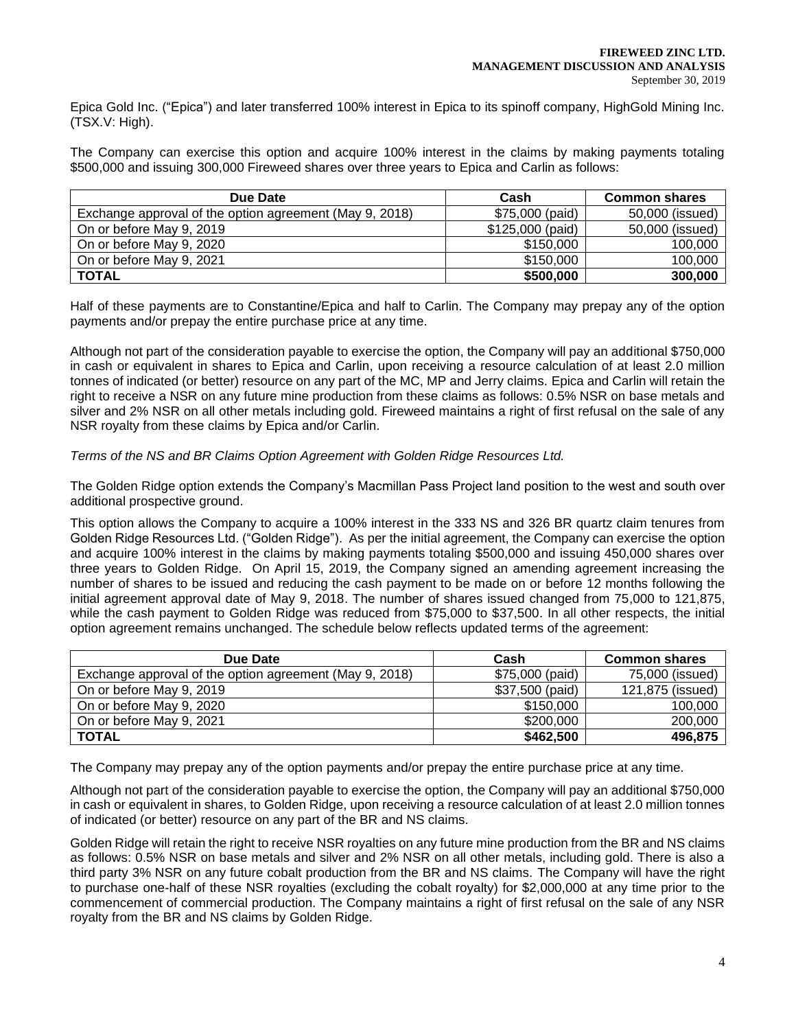Epica Gold Inc. ("Epica") and later transferred 100% interest in Epica to its spinoff company, HighGold Mining Inc. (TSX.V: High).

The Company can exercise this option and acquire 100% interest in the claims by making payments totaling \$500,000 and issuing 300,000 Fireweed shares over three years to Epica and Carlin as follows:

| Due Date                                                | Cash              | <b>Common shares</b> |
|---------------------------------------------------------|-------------------|----------------------|
| Exchange approval of the option agreement (May 9, 2018) | \$75,000 (paid)   | 50,000 (issued)      |
| On or before May 9, 2019                                | $$125,000$ (paid) | 50,000 (issued)      |
| On or before May 9, 2020                                | \$150,000         | 100,000              |
| On or before May 9, 2021                                | \$150,000         | 100,000              |
| <b>TOTAL</b>                                            | \$500,000         | 300,000              |

Half of these payments are to Constantine/Epica and half to Carlin. The Company may prepay any of the option payments and/or prepay the entire purchase price at any time.

Although not part of the consideration payable to exercise the option, the Company will pay an additional \$750,000 in cash or equivalent in shares to Epica and Carlin, upon receiving a resource calculation of at least 2.0 million tonnes of indicated (or better) resource on any part of the MC, MP and Jerry claims. Epica and Carlin will retain the right to receive a NSR on any future mine production from these claims as follows: 0.5% NSR on base metals and silver and 2% NSR on all other metals including gold. Fireweed maintains a right of first refusal on the sale of any NSR royalty from these claims by Epica and/or Carlin.

## *Terms of the NS and BR Claims Option Agreement with Golden Ridge Resources Ltd.*

The Golden Ridge option extends the Company's Macmillan Pass Project land position to the west and south over additional prospective ground.

This option allows the Company to acquire a 100% interest in the 333 NS and 326 BR quartz claim tenures from Golden Ridge Resources Ltd. ("Golden Ridge"). As per the initial agreement, the Company can exercise the option and acquire 100% interest in the claims by making payments totaling \$500,000 and issuing 450,000 shares over three years to Golden Ridge. On April 15, 2019, the Company signed an amending agreement increasing the number of shares to be issued and reducing the cash payment to be made on or before 12 months following the initial agreement approval date of May 9, 2018. The number of shares issued changed from 75,000 to 121,875, while the cash payment to Golden Ridge was reduced from \$75,000 to \$37,500. In all other respects, the initial option agreement remains unchanged. The schedule below reflects updated terms of the agreement:

| Due Date                                                | Cash            | <b>Common shares</b> |
|---------------------------------------------------------|-----------------|----------------------|
| Exchange approval of the option agreement (May 9, 2018) | \$75,000 (paid) | 75,000 (issued)      |
| On or before May 9, 2019                                | \$37,500 (paid) | 121,875 (issued)     |
| On or before May 9, 2020                                | \$150,000       | 100,000              |
| On or before May 9, 2021                                | \$200,000       | 200,000              |
| <b>TOTAL</b>                                            | \$462,500       | 496,875              |

The Company may prepay any of the option payments and/or prepay the entire purchase price at any time.

Although not part of the consideration payable to exercise the option, the Company will pay an additional \$750,000 in cash or equivalent in shares, to Golden Ridge, upon receiving a resource calculation of at least 2.0 million tonnes of indicated (or better) resource on any part of the BR and NS claims.

Golden Ridge will retain the right to receive NSR royalties on any future mine production from the BR and NS claims as follows: 0.5% NSR on base metals and silver and 2% NSR on all other metals, including gold. There is also a third party 3% NSR on any future cobalt production from the BR and NS claims. The Company will have the right to purchase one-half of these NSR royalties (excluding the cobalt royalty) for \$2,000,000 at any time prior to the commencement of commercial production. The Company maintains a right of first refusal on the sale of any NSR royalty from the BR and NS claims by Golden Ridge.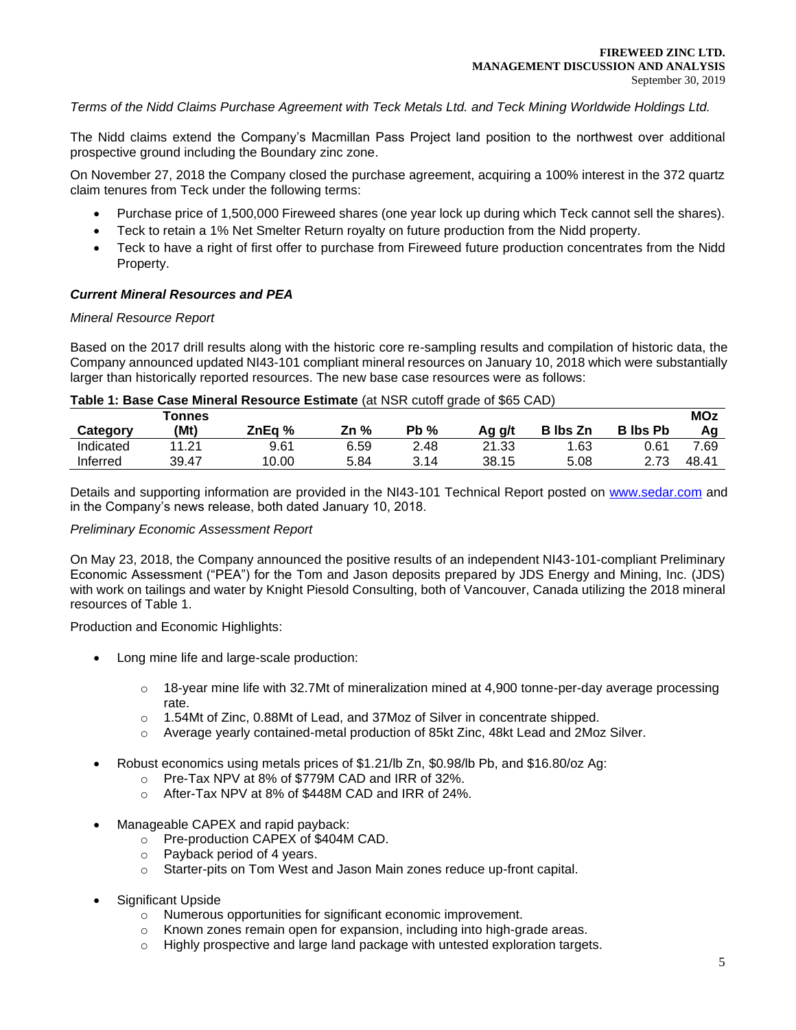*Terms of the Nidd Claims Purchase Agreement with Teck Metals Ltd. and Teck Mining Worldwide Holdings Ltd.* 

The Nidd claims extend the Company's Macmillan Pass Project land position to the northwest over additional prospective ground including the Boundary zinc zone.

On November 27, 2018 the Company closed the purchase agreement, acquiring a 100% interest in the 372 quartz claim tenures from Teck under the following terms:

- Purchase price of 1,500,000 Fireweed shares (one year lock up during which Teck cannot sell the shares).
- Teck to retain a 1% Net Smelter Return royalty on future production from the Nidd property.
- Teck to have a right of first offer to purchase from Fireweed future production concentrates from the Nidd Property.

## *Current Mineral Resources and PEA*

## *Mineral Resource Report*

Based on the 2017 drill results along with the historic core re-sampling results and compilation of historic data, the Company announced updated NI43-101 compliant mineral resources on January 10, 2018 which were substantially larger than historically reported resources. The new base case resources were as follows:

| Table 1: Base Case Mineral Resource Estimate (at NSR cutoff grade of \$65 CAD) |  |
|--------------------------------------------------------------------------------|--|
|--------------------------------------------------------------------------------|--|

|           | <b>Tonnes</b> |        |      |         |        |                 |                 | <b>MOz</b> |
|-----------|---------------|--------|------|---------|--------|-----------------|-----------------|------------|
| Category  | (Mt)          | ZnEa % | Zn % | Pb<br>% | Ag g/t | <b>B</b> Ibs Zn | <b>B</b> lbs Pb | Aα         |
| Indicated | 11.21         | 9.61   | 6.59 | 2.48    | 21.33  | 1.63            | 0.61            | 7.69       |
| Inferred  | 39.47         | 10.00  | 5.84 | 3.14    | 38.15  | 5.08            | 2.73            | 48.41      |

Details and supporting information are provided in the NI43-101 Technical Report posted on [www.sedar.com](about:blank) and in the Company's news release, both dated January 10, 2018.

## *Preliminary Economic Assessment Report*

On May 23, 2018, the Company announced the positive results of an independent NI43-101-compliant Preliminary Economic Assessment ("PEA") for the Tom and Jason deposits prepared by JDS Energy and Mining, Inc. (JDS) with work on tailings and water by Knight Piesold Consulting, both of Vancouver, Canada utilizing the 2018 mineral resources of Table 1.

Production and Economic Highlights:

- Long mine life and large-scale production:
	- $\circ$  18-year mine life with 32.7Mt of mineralization mined at 4,900 tonne-per-day average processing rate.
	- o 1.54Mt of Zinc, 0.88Mt of Lead, and 37Moz of Silver in concentrate shipped.
	- o Average yearly contained-metal production of 85kt Zinc, 48kt Lead and 2Moz Silver.
- Robust economics using metals prices of \$1.21/lb Zn, \$0.98/lb Pb, and \$16.80/oz Ag:
	- o Pre-Tax NPV at 8% of \$779M CAD and IRR of 32%.
	- o After-Tax NPV at 8% of \$448M CAD and IRR of 24%.
- Manageable CAPEX and rapid payback:
	- o Pre-production CAPEX of \$404M CAD.
	- o Payback period of 4 years.
	- o Starter-pits on Tom West and Jason Main zones reduce up-front capital.
- Significant Upside
	- o Numerous opportunities for significant economic improvement.
	- o Known zones remain open for expansion, including into high-grade areas.
	- o Highly prospective and large land package with untested exploration targets.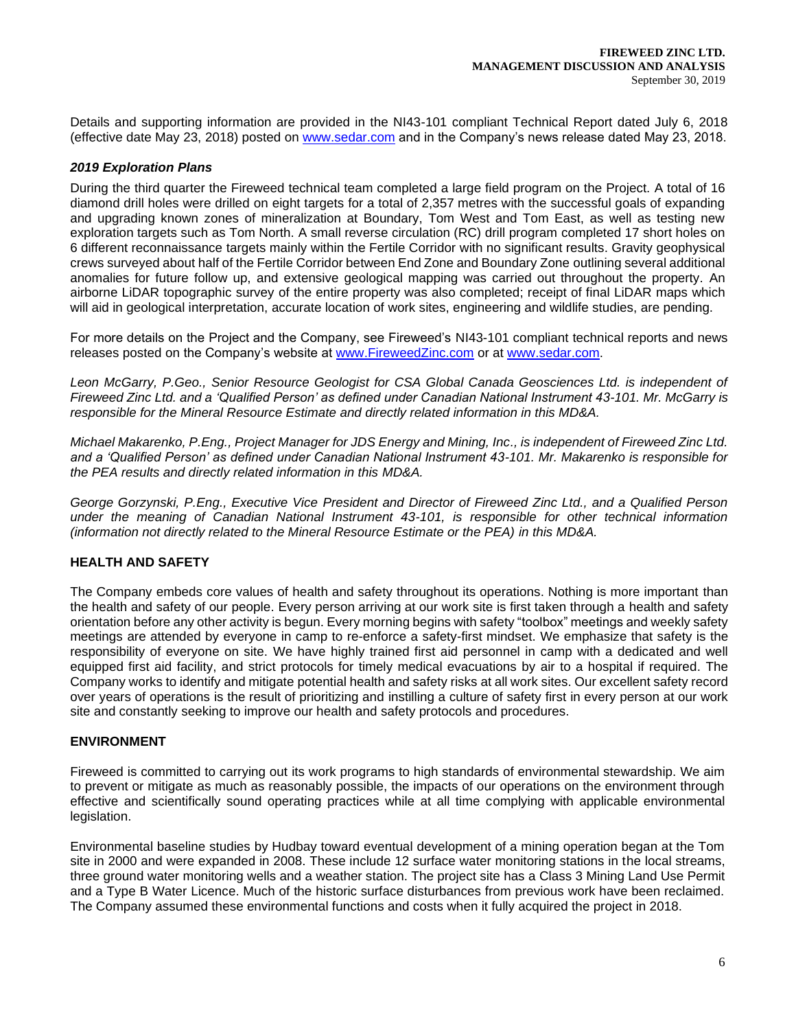Details and supporting information are provided in the NI43-101 compliant Technical Report dated July 6, 2018 (effective date May 23, 2018) posted on [www.sedar.com](about:blank) and in the Company's news release dated May 23, 2018.

# *2019 Exploration Plans*

During the third quarter the Fireweed technical team completed a large field program on the Project. A total of 16 diamond drill holes were drilled on eight targets for a total of 2,357 metres with the successful goals of expanding and upgrading known zones of mineralization at Boundary, Tom West and Tom East, as well as testing new exploration targets such as Tom North. A small reverse circulation (RC) drill program completed 17 short holes on 6 different reconnaissance targets mainly within the Fertile Corridor with no significant results. Gravity geophysical crews surveyed about half of the Fertile Corridor between End Zone and Boundary Zone outlining several additional anomalies for future follow up, and extensive geological mapping was carried out throughout the property. An airborne LiDAR topographic survey of the entire property was also completed; receipt of final LiDAR maps which will aid in geological interpretation, accurate location of work sites, engineering and wildlife studies, are pending.

For more details on the Project and the Company, see Fireweed's NI43-101 compliant technical reports and news releases posted on the Company's website at [www.FireweedZinc.com](about:blank) or at [www.sedar.com.](about:blank)

*Leon McGarry, P.Geo., Senior Resource Geologist for CSA Global Canada Geosciences Ltd. is independent of Fireweed Zinc Ltd. and a 'Qualified Person' as defined under Canadian National Instrument 43-101. Mr. McGarry is responsible for the Mineral Resource Estimate and directly related information in this MD&A.* 

*Michael Makarenko, P.Eng., Project Manager for JDS Energy and Mining, Inc., is independent of Fireweed Zinc Ltd. and a 'Qualified Person' as defined under Canadian National Instrument 43-101. Mr. Makarenko is responsible for the PEA results and directly related information in this MD&A.*

*George Gorzynski, P.Eng., Executive Vice President and Director of Fireweed Zinc Ltd., and a Qualified Person under the meaning of Canadian National Instrument 43-101, is responsible for other technical information (information not directly related to the Mineral Resource Estimate or the PEA) in this MD&A.*

# **HEALTH AND SAFETY**

The Company embeds core values of health and safety throughout its operations. Nothing is more important than the health and safety of our people. Every person arriving at our work site is first taken through a health and safety orientation before any other activity is begun. Every morning begins with safety "toolbox" meetings and weekly safety meetings are attended by everyone in camp to re-enforce a safety-first mindset. We emphasize that safety is the responsibility of everyone on site. We have highly trained first aid personnel in camp with a dedicated and well equipped first aid facility, and strict protocols for timely medical evacuations by air to a hospital if required. The Company works to identify and mitigate potential health and safety risks at all work sites. Our excellent safety record over years of operations is the result of prioritizing and instilling a culture of safety first in every person at our work site and constantly seeking to improve our health and safety protocols and procedures.

## **ENVIRONMENT**

Fireweed is committed to carrying out its work programs to high standards of environmental stewardship. We aim to prevent or mitigate as much as reasonably possible, the impacts of our operations on the environment through effective and scientifically sound operating practices while at all time complying with applicable environmental legislation.

Environmental baseline studies by Hudbay toward eventual development of a mining operation began at the Tom site in 2000 and were expanded in 2008. These include 12 surface water monitoring stations in the local streams, three ground water monitoring wells and a weather station. The project site has a Class 3 Mining Land Use Permit and a Type B Water Licence. Much of the historic surface disturbances from previous work have been reclaimed. The Company assumed these environmental functions and costs when it fully acquired the project in 2018.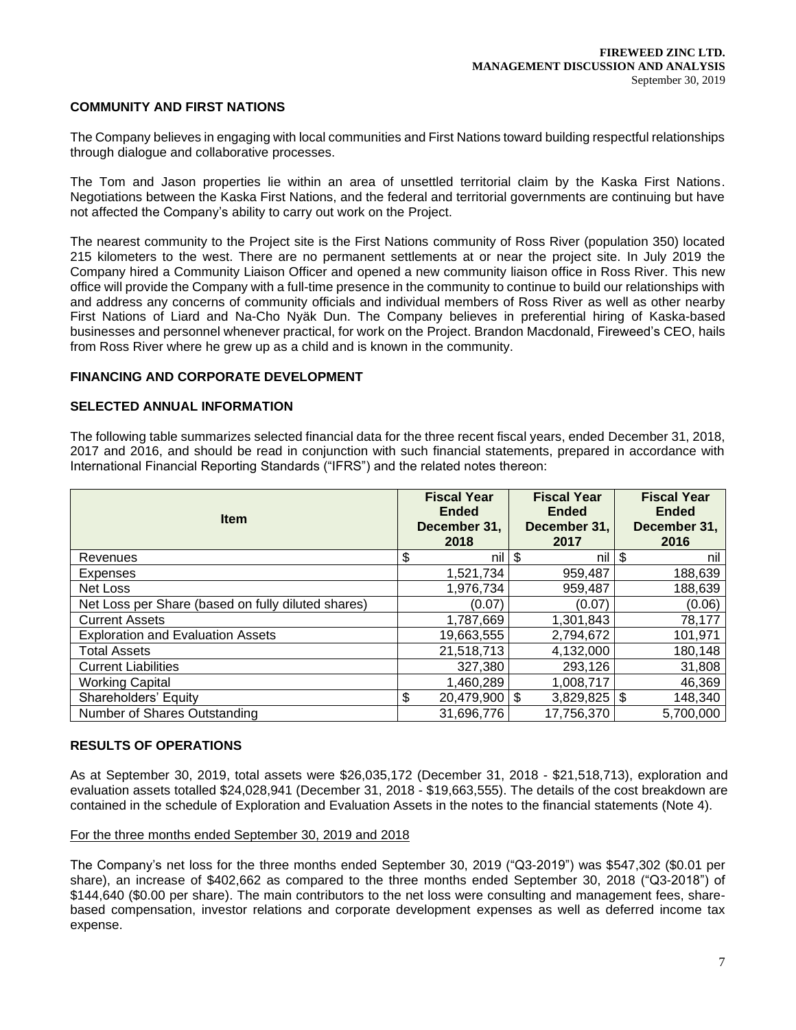## **COMMUNITY AND FIRST NATIONS**

The Company believes in engaging with local communities and First Nations toward building respectful relationships through dialogue and collaborative processes.

The Tom and Jason properties lie within an area of unsettled territorial claim by the Kaska First Nations. Negotiations between the Kaska First Nations, and the federal and territorial governments are continuing but have not affected the Company's ability to carry out work on the Project.

The nearest community to the Project site is the First Nations community of Ross River (population 350) located 215 kilometers to the west. There are no permanent settlements at or near the project site. In July 2019 the Company hired a Community Liaison Officer and opened a new community liaison office in Ross River. This new office will provide the Company with a full-time presence in the community to continue to build our relationships with and address any concerns of community officials and individual members of Ross River as well as other nearby First Nations of Liard and Na-Cho Nyäk Dun. The Company believes in preferential hiring of Kaska-based businesses and personnel whenever practical, for work on the Project. Brandon Macdonald, Fireweed's CEO, hails from Ross River where he grew up as a child and is known in the community.

## **FINANCING AND CORPORATE DEVELOPMENT**

## **SELECTED ANNUAL INFORMATION**

The following table summarizes selected financial data for the three recent fiscal years, ended December 31, 2018, 2017 and 2016, and should be read in conjunction with such financial statements, prepared in accordance with International Financial Reporting Standards ("IFRS") and the related notes thereon:

| <b>Item</b>                                        | <b>Fiscal Year</b><br><b>Ended</b><br>December 31,<br>2018 | <b>Fiscal Year</b><br><b>Ended</b><br>December 31,<br>2017 | <b>Fiscal Year</b><br><b>Ended</b><br>December 31,<br>2016 |
|----------------------------------------------------|------------------------------------------------------------|------------------------------------------------------------|------------------------------------------------------------|
| Revenues                                           | nil<br>\$                                                  | \$<br>nil                                                  | \$<br>nil                                                  |
| Expenses                                           | 1,521,734                                                  | 959,487                                                    | 188,639                                                    |
| Net Loss                                           | 1,976,734                                                  | 959,487                                                    | 188,639                                                    |
| Net Loss per Share (based on fully diluted shares) | (0.07)                                                     | (0.07)                                                     | (0.06)                                                     |
| <b>Current Assets</b>                              | 1,787,669                                                  | 1,301,843                                                  | 78,177                                                     |
| <b>Exploration and Evaluation Assets</b>           | 19,663,555                                                 | 2,794,672                                                  | 101,971                                                    |
| <b>Total Assets</b>                                | 21,518,713                                                 | 4,132,000                                                  | 180,148                                                    |
| <b>Current Liabilities</b>                         | 327,380                                                    | 293,126                                                    | 31,808                                                     |
| <b>Working Capital</b>                             | 1,460,289                                                  | 1,008,717                                                  | 46,369                                                     |
| Shareholders' Equity                               | \$<br>$20,479,900$ \$                                      | $3,829,825$ \\$                                            | 148,340                                                    |
| Number of Shares Outstanding                       | 31,696,776                                                 | 17,756,370                                                 | 5,700,000                                                  |

### **RESULTS OF OPERATIONS**

As at September 30, 2019, total assets were \$26,035,172 (December 31, 2018 - \$21,518,713), exploration and evaluation assets totalled \$24,028,941 (December 31, 2018 - \$19,663,555). The details of the cost breakdown are contained in the schedule of Exploration and Evaluation Assets in the notes to the financial statements (Note 4).

## For the three months ended September 30, 2019 and 2018

The Company's net loss for the three months ended September 30, 2019 ("Q3-2019") was \$547,302 (\$0.01 per share), an increase of \$402,662 as compared to the three months ended September 30, 2018 ("Q3-2018") of \$144,640 (\$0.00 per share). The main contributors to the net loss were consulting and management fees, sharebased compensation, investor relations and corporate development expenses as well as deferred income tax expense.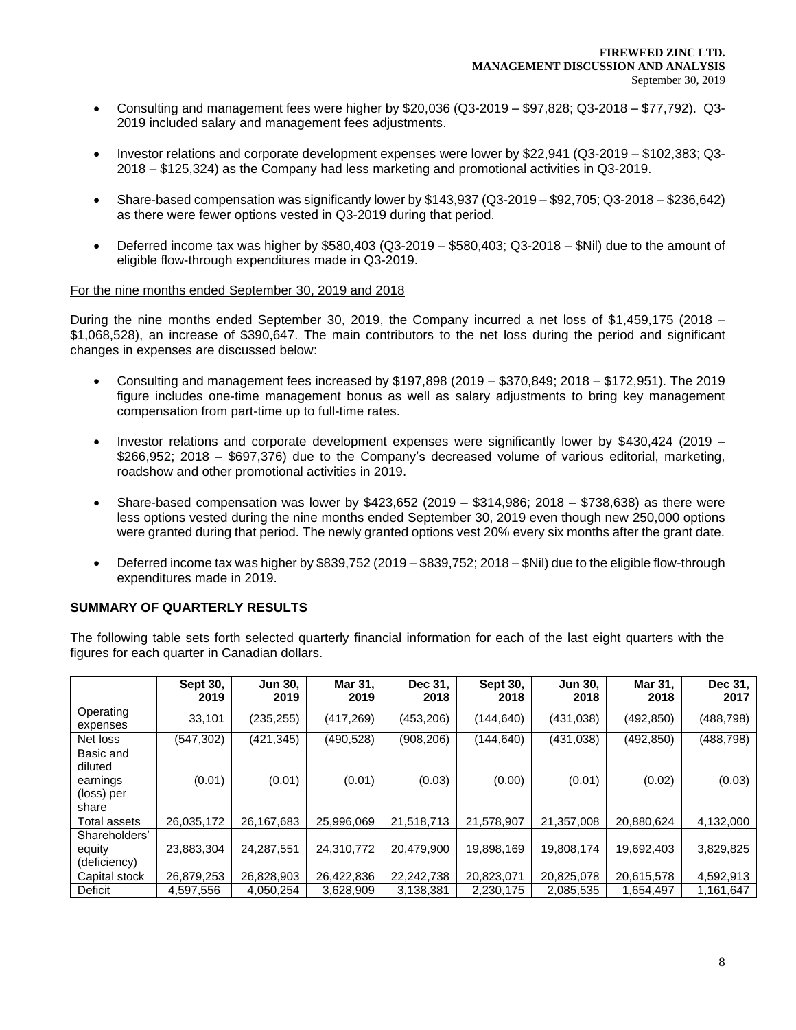- Consulting and management fees were higher by \$20,036 (Q3-2019 \$97,828; Q3-2018 \$77,792). Q3- 2019 included salary and management fees adjustments.
- Investor relations and corporate development expenses were lower by \$22,941 (Q3-2019 \$102,383; Q3- 2018 – \$125,324) as the Company had less marketing and promotional activities in Q3-2019.
- Share-based compensation was significantly lower by \$143,937 (Q3-2019 \$92,705; Q3-2018 \$236,642) as there were fewer options vested in Q3-2019 during that period.
- Deferred income tax was higher by \$580,403 (Q3-2019 \$580,403; Q3-2018 \$Nil) due to the amount of eligible flow-through expenditures made in Q3-2019.

## For the nine months ended September 30, 2019 and 2018

During the nine months ended September 30, 2019, the Company incurred a net loss of \$1,459,175 (2018 – \$1,068,528), an increase of \$390,647. The main contributors to the net loss during the period and significant changes in expenses are discussed below:

- Consulting and management fees increased by \$197,898 (2019 \$370,849; 2018 \$172,951). The 2019 figure includes one-time management bonus as well as salary adjustments to bring key management compensation from part-time up to full-time rates.
- Investor relations and corporate development expenses were significantly lower by \$430,424 (2019 \$266,952; 2018 – \$697,376) due to the Company's decreased volume of various editorial, marketing, roadshow and other promotional activities in 2019.
- Share-based compensation was lower by  $$423,652$  (2019 \$314,986; 2018 \$738,638) as there were less options vested during the nine months ended September 30, 2019 even though new 250,000 options were granted during that period. The newly granted options vest 20% every six months after the grant date.
- Deferred income tax was higher by \$839,752 (2019 \$839,752; 2018 \$Nil) due to the eligible flow-through expenditures made in 2019.

## **SUMMARY OF QUARTERLY RESULTS**

The following table sets forth selected quarterly financial information for each of the last eight quarters with the figures for each quarter in Canadian dollars.

|                                                         | Sept 30,<br>2019 | <b>Jun 30,</b><br>2019 | Mar 31,<br>2019 | Dec 31,<br>2018 | Sept 30,<br>2018 | Jun 30,<br>2018 | Mar 31,<br>2018 | Dec 31,<br>2017 |
|---------------------------------------------------------|------------------|------------------------|-----------------|-----------------|------------------|-----------------|-----------------|-----------------|
| Operating<br>expenses                                   | 33,101           | (235, 255)             | (417, 269)      | (453, 206)      | (144,640)        | (431, 038)      | (492, 850)      | (488,798)       |
| Net loss                                                | (547,302)        | (421,345)              | (490,528)       | (908,206)       | (144, 640)       | (431,038)       | (492, 850)      | (488,798)       |
| Basic and<br>diluted<br>earnings<br>(loss) per<br>share | (0.01)           | (0.01)                 | (0.01)          | (0.03)          | (0.00)           | (0.01)          | (0.02)          | (0.03)          |
| Total assets                                            | 26,035,172       | 26,167,683             | 25,996,069      | 21,518,713      | 21,578,907       | 21,357,008      | 20,880,624      | 4,132,000       |
| Shareholders'<br>equity<br>(deficiency)                 | 23,883,304       | 24,287,551             | 24,310,772      | 20,479,900      | 19,898,169       | 19,808,174      | 19,692,403      | 3,829,825       |
| Capital stock                                           | 26,879,253       | 26,828,903             | 26,422,836      | 22,242,738      | 20,823,071       | 20,825,078      | 20,615,578      | 4,592,913       |
| Deficit                                                 | 4,597,556        | 4,050,254              | 3,628,909       | 3,138,381       | 2,230,175        | 2,085,535       | 1,654,497       | 1,161,647       |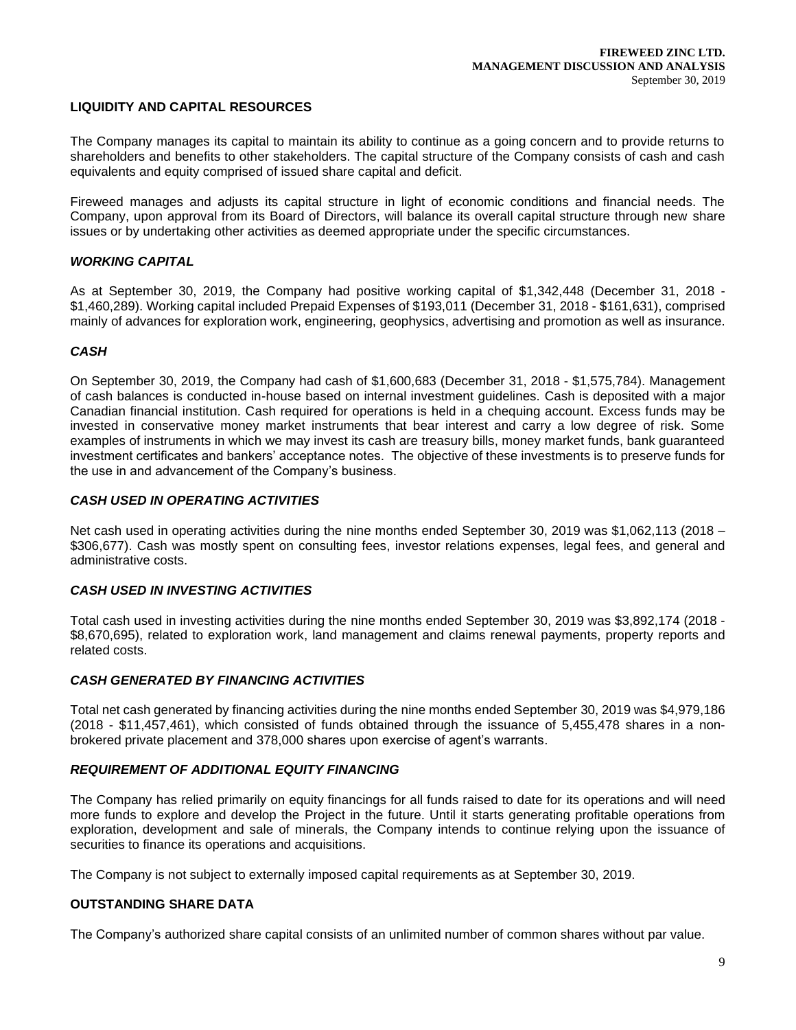## **LIQUIDITY AND CAPITAL RESOURCES**

The Company manages its capital to maintain its ability to continue as a going concern and to provide returns to shareholders and benefits to other stakeholders. The capital structure of the Company consists of cash and cash equivalents and equity comprised of issued share capital and deficit.

Fireweed manages and adjusts its capital structure in light of economic conditions and financial needs. The Company, upon approval from its Board of Directors, will balance its overall capital structure through new share issues or by undertaking other activities as deemed appropriate under the specific circumstances.

## *WORKING CAPITAL*

As at September 30, 2019, the Company had positive working capital of \$1,342,448 (December 31, 2018 - \$1,460,289). Working capital included Prepaid Expenses of \$193,011 (December 31, 2018 - \$161,631), comprised mainly of advances for exploration work, engineering, geophysics, advertising and promotion as well as insurance.

### *CASH*

On September 30, 2019, the Company had cash of \$1,600,683 (December 31, 2018 - \$1,575,784). Management of cash balances is conducted in-house based on internal investment guidelines. Cash is deposited with a major Canadian financial institution. Cash required for operations is held in a chequing account. Excess funds may be invested in conservative money market instruments that bear interest and carry a low degree of risk. Some examples of instruments in which we may invest its cash are treasury bills, money market funds, bank guaranteed investment certificates and bankers' acceptance notes. The objective of these investments is to preserve funds for the use in and advancement of the Company's business.

## *CASH USED IN OPERATING ACTIVITIES*

Net cash used in operating activities during the nine months ended September 30, 2019 was \$1,062,113 (2018 – \$306,677). Cash was mostly spent on consulting fees, investor relations expenses, legal fees, and general and administrative costs.

## *CASH USED IN INVESTING ACTIVITIES*

Total cash used in investing activities during the nine months ended September 30, 2019 was \$3,892,174 (2018 - \$8,670,695), related to exploration work, land management and claims renewal payments, property reports and related costs.

### *CASH GENERATED BY FINANCING ACTIVITIES*

Total net cash generated by financing activities during the nine months ended September 30, 2019 was \$4,979,186 (2018 - \$11,457,461), which consisted of funds obtained through the issuance of 5,455,478 shares in a nonbrokered private placement and 378,000 shares upon exercise of agent's warrants.

### *REQUIREMENT OF ADDITIONAL EQUITY FINANCING*

The Company has relied primarily on equity financings for all funds raised to date for its operations and will need more funds to explore and develop the Project in the future. Until it starts generating profitable operations from exploration, development and sale of minerals, the Company intends to continue relying upon the issuance of securities to finance its operations and acquisitions.

The Company is not subject to externally imposed capital requirements as at September 30, 2019.

## **OUTSTANDING SHARE DATA**

The Company's authorized share capital consists of an unlimited number of common shares without par value.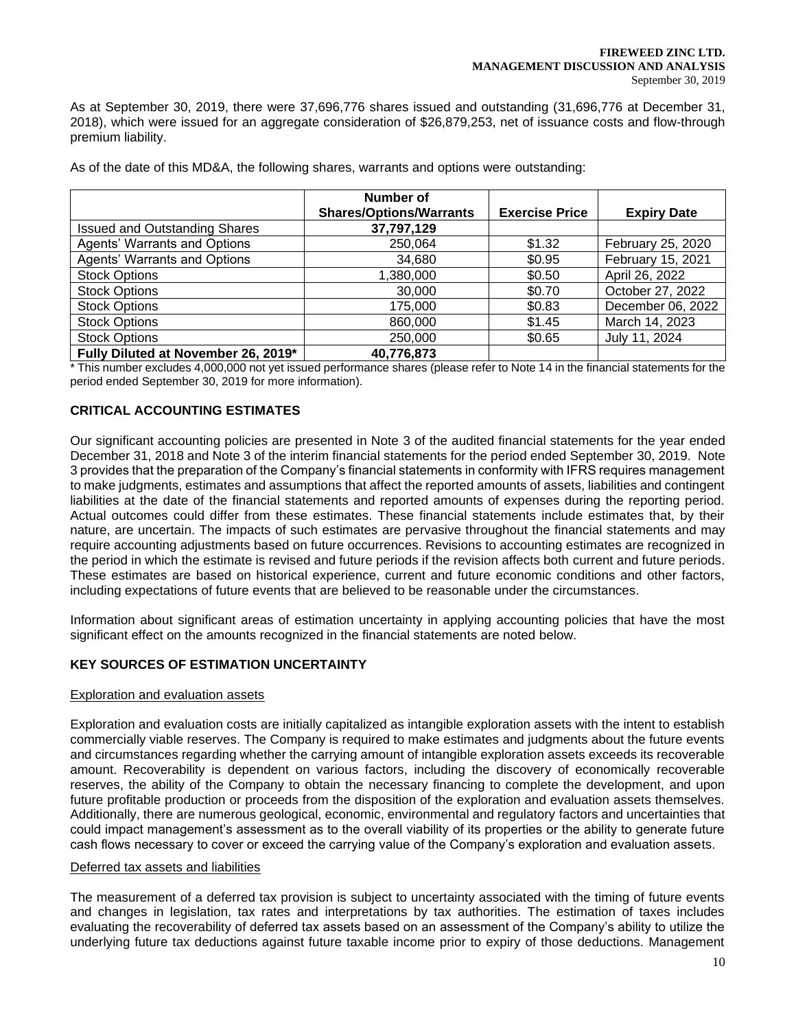As at September 30, 2019, there were 37,696,776 shares issued and outstanding (31,696,776 at December 31, 2018), which were issued for an aggregate consideration of \$26,879,253, net of issuance costs and flow-through premium liability.

|                                      | Number of<br><b>Shares/Options/Warrants</b> | <b>Exercise Price</b> | <b>Expiry Date</b> |
|--------------------------------------|---------------------------------------------|-----------------------|--------------------|
| <b>Issued and Outstanding Shares</b> | 37,797,129                                  |                       |                    |
| Agents' Warrants and Options         | 250,064                                     | \$1.32                | February 25, 2020  |
| Agents' Warrants and Options         | 34,680                                      | \$0.95                | February 15, 2021  |
| <b>Stock Options</b>                 | 1,380,000                                   | \$0.50                | April 26, 2022     |
| <b>Stock Options</b>                 | 30,000                                      | \$0.70                | October 27, 2022   |
| <b>Stock Options</b>                 | 175,000                                     | \$0.83                | December 06, 2022  |
| <b>Stock Options</b>                 | 860,000                                     | \$1.45                | March 14, 2023     |
| <b>Stock Options</b>                 | 250,000                                     | \$0.65                | July 11, 2024      |
| Fully Diluted at November 26, 2019*  | 40,776,873                                  |                       |                    |

As of the date of this MD&A, the following shares, warrants and options were outstanding:

\* This number excludes 4,000,000 not yet issued performance shares (please refer to Note 14 in the financial statements for the period ended September 30, 2019 for more information).

# **CRITICAL ACCOUNTING ESTIMATES**

Our significant accounting policies are presented in Note 3 of the audited financial statements for the year ended December 31, 2018 and Note 3 of the interim financial statements for the period ended September 30, 2019. Note 3 provides that the preparation of the Company's financial statements in conformity with IFRS requires management to make judgments, estimates and assumptions that affect the reported amounts of assets, liabilities and contingent liabilities at the date of the financial statements and reported amounts of expenses during the reporting period. Actual outcomes could differ from these estimates. These financial statements include estimates that, by their nature, are uncertain. The impacts of such estimates are pervasive throughout the financial statements and may require accounting adjustments based on future occurrences. Revisions to accounting estimates are recognized in the period in which the estimate is revised and future periods if the revision affects both current and future periods. These estimates are based on historical experience, current and future economic conditions and other factors, including expectations of future events that are believed to be reasonable under the circumstances.

Information about significant areas of estimation uncertainty in applying accounting policies that have the most significant effect on the amounts recognized in the financial statements are noted below.

# **KEY SOURCES OF ESTIMATION UNCERTAINTY**

### Exploration and evaluation assets

Exploration and evaluation costs are initially capitalized as intangible exploration assets with the intent to establish commercially viable reserves. The Company is required to make estimates and judgments about the future events and circumstances regarding whether the carrying amount of intangible exploration assets exceeds its recoverable amount. Recoverability is dependent on various factors, including the discovery of economically recoverable reserves, the ability of the Company to obtain the necessary financing to complete the development, and upon future profitable production or proceeds from the disposition of the exploration and evaluation assets themselves. Additionally, there are numerous geological, economic, environmental and regulatory factors and uncertainties that could impact management's assessment as to the overall viability of its properties or the ability to generate future cash flows necessary to cover or exceed the carrying value of the Company's exploration and evaluation assets.

### Deferred tax assets and liabilities

The measurement of a deferred tax provision is subject to uncertainty associated with the timing of future events and changes in legislation, tax rates and interpretations by tax authorities. The estimation of taxes includes evaluating the recoverability of deferred tax assets based on an assessment of the Company's ability to utilize the underlying future tax deductions against future taxable income prior to expiry of those deductions. Management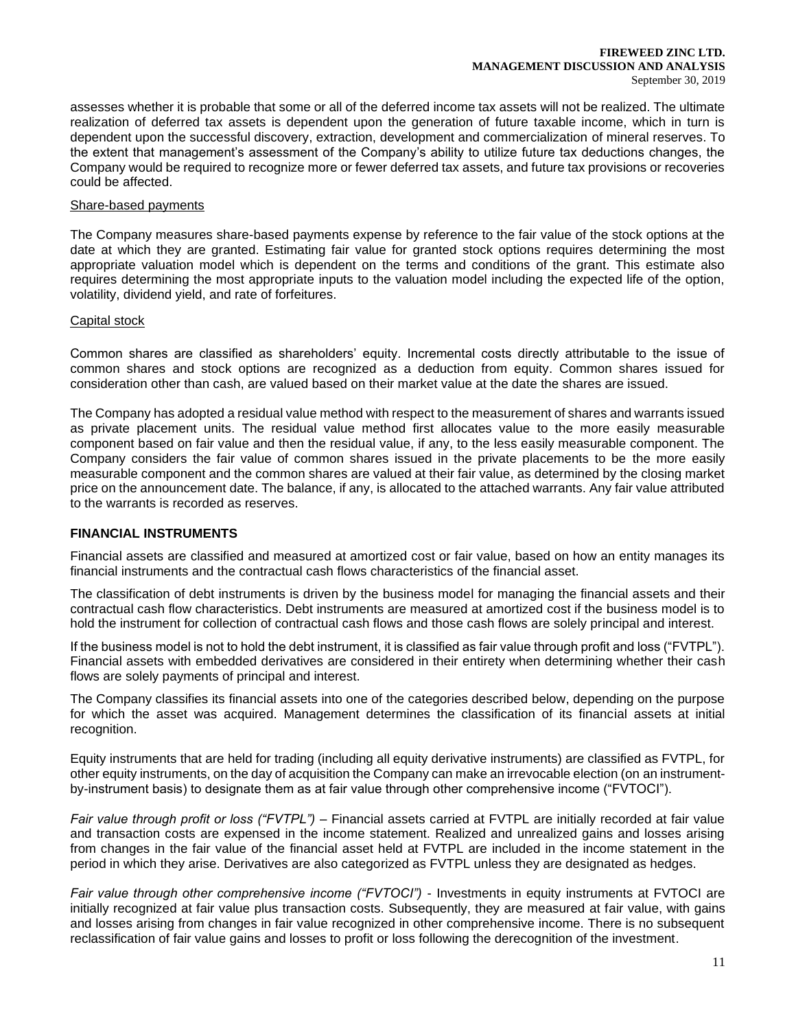#### **FIREWEED ZINC LTD. MANAGEMENT DISCUSSION AND ANALYSIS** September 30, 2019

assesses whether it is probable that some or all of the deferred income tax assets will not be realized. The ultimate realization of deferred tax assets is dependent upon the generation of future taxable income, which in turn is dependent upon the successful discovery, extraction, development and commercialization of mineral reserves. To the extent that management's assessment of the Company's ability to utilize future tax deductions changes, the Company would be required to recognize more or fewer deferred tax assets, and future tax provisions or recoveries could be affected.

## Share-based payments

The Company measures share-based payments expense by reference to the fair value of the stock options at the date at which they are granted. Estimating fair value for granted stock options requires determining the most appropriate valuation model which is dependent on the terms and conditions of the grant. This estimate also requires determining the most appropriate inputs to the valuation model including the expected life of the option, volatility, dividend yield, and rate of forfeitures.

## Capital stock

Common shares are classified as shareholders' equity. Incremental costs directly attributable to the issue of common shares and stock options are recognized as a deduction from equity. Common shares issued for consideration other than cash, are valued based on their market value at the date the shares are issued.

The Company has adopted a residual value method with respect to the measurement of shares and warrants issued as private placement units. The residual value method first allocates value to the more easily measurable component based on fair value and then the residual value, if any, to the less easily measurable component. The Company considers the fair value of common shares issued in the private placements to be the more easily measurable component and the common shares are valued at their fair value, as determined by the closing market price on the announcement date. The balance, if any, is allocated to the attached warrants. Any fair value attributed to the warrants is recorded as reserves.

### **FINANCIAL INSTRUMENTS**

Financial assets are classified and measured at amortized cost or fair value, based on how an entity manages its financial instruments and the contractual cash flows characteristics of the financial asset.

The classification of debt instruments is driven by the business model for managing the financial assets and their contractual cash flow characteristics. Debt instruments are measured at amortized cost if the business model is to hold the instrument for collection of contractual cash flows and those cash flows are solely principal and interest.

If the business model is not to hold the debt instrument, it is classified as fair value through profit and loss ("FVTPL"). Financial assets with embedded derivatives are considered in their entirety when determining whether their cash flows are solely payments of principal and interest.

The Company classifies its financial assets into one of the categories described below, depending on the purpose for which the asset was acquired. Management determines the classification of its financial assets at initial recognition.

Equity instruments that are held for trading (including all equity derivative instruments) are classified as FVTPL, for other equity instruments, on the day of acquisition the Company can make an irrevocable election (on an instrumentby-instrument basis) to designate them as at fair value through other comprehensive income ("FVTOCI").

*Fair value through profit or loss ("FVTPL")* – Financial assets carried at FVTPL are initially recorded at fair value and transaction costs are expensed in the income statement. Realized and unrealized gains and losses arising from changes in the fair value of the financial asset held at FVTPL are included in the income statement in the period in which they arise. Derivatives are also categorized as FVTPL unless they are designated as hedges.

*Fair value through other comprehensive income ("FVTOCI")* - Investments in equity instruments at FVTOCI are initially recognized at fair value plus transaction costs. Subsequently, they are measured at fair value, with gains and losses arising from changes in fair value recognized in other comprehensive income. There is no subsequent reclassification of fair value gains and losses to profit or loss following the derecognition of the investment.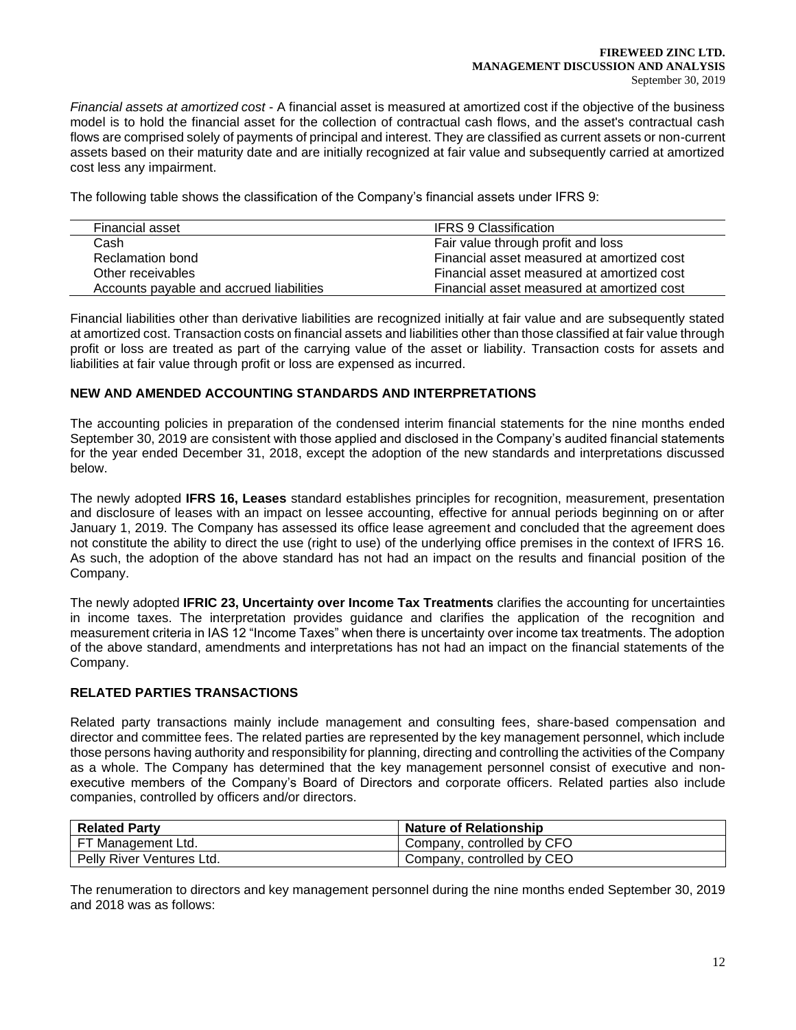*Financial assets at amortized cost* - A financial asset is measured at amortized cost if the objective of the business model is to hold the financial asset for the collection of contractual cash flows, and the asset's contractual cash flows are comprised solely of payments of principal and interest. They are classified as current assets or non-current assets based on their maturity date and are initially recognized at fair value and subsequently carried at amortized cost less any impairment.

The following table shows the classification of the Company's financial assets under IFRS 9:

| Financial asset                          | <b>IFRS 9 Classification</b>               |
|------------------------------------------|--------------------------------------------|
| Cash                                     | Fair value through profit and loss         |
| Reclamation bond                         | Financial asset measured at amortized cost |
| Other receivables                        | Financial asset measured at amortized cost |
| Accounts payable and accrued liabilities | Financial asset measured at amortized cost |

Financial liabilities other than derivative liabilities are recognized initially at fair value and are subsequently stated at amortized cost. Transaction costs on financial assets and liabilities other than those classified at fair value through profit or loss are treated as part of the carrying value of the asset or liability. Transaction costs for assets and liabilities at fair value through profit or loss are expensed as incurred.

# **NEW AND AMENDED ACCOUNTING STANDARDS AND INTERPRETATIONS**

The accounting policies in preparation of the condensed interim financial statements for the nine months ended September 30, 2019 are consistent with those applied and disclosed in the Company's audited financial statements for the year ended December 31, 2018, except the adoption of the new standards and interpretations discussed below.

The newly adopted **IFRS 16, Leases** standard establishes principles for recognition, measurement, presentation and disclosure of leases with an impact on lessee accounting, effective for annual periods beginning on or after January 1, 2019. The Company has assessed its office lease agreement and concluded that the agreement does not constitute the ability to direct the use (right to use) of the underlying office premises in the context of IFRS 16. As such, the adoption of the above standard has not had an impact on the results and financial position of the Company.

The newly adopted **IFRIC 23, Uncertainty over Income Tax Treatments** clarifies the accounting for uncertainties in income taxes. The interpretation provides guidance and clarifies the application of the recognition and measurement criteria in IAS 12 "Income Taxes" when there is uncertainty over income tax treatments. The adoption of the above standard, amendments and interpretations has not had an impact on the financial statements of the Company.

## **RELATED PARTIES TRANSACTIONS**

Related party transactions mainly include management and consulting fees, share-based compensation and director and committee fees. The related parties are represented by the key management personnel, which include those persons having authority and responsibility for planning, directing and controlling the activities of the Company as a whole. The Company has determined that the key management personnel consist of executive and nonexecutive members of the Company's Board of Directors and corporate officers. Related parties also include companies, controlled by officers and/or directors.

| <b>Related Party</b>      | <b>Nature of Relationship</b> |
|---------------------------|-------------------------------|
| FT Management Ltd.        | Company, controlled by CFO    |
| Pelly River Ventures Ltd. | Company, controlled by CEO    |

The renumeration to directors and key management personnel during the nine months ended September 30, 2019 and 2018 was as follows: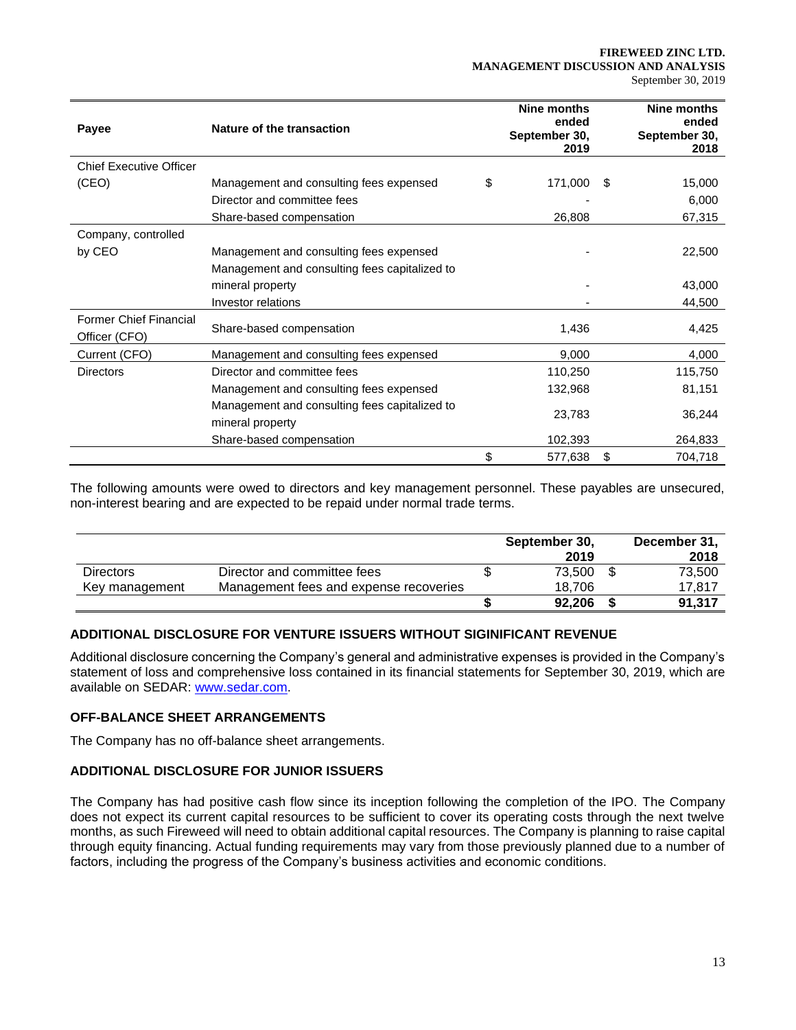#### **FIREWEED ZINC LTD. MANAGEMENT DISCUSSION AND ANALYSIS** September 30, 2019

| Payee                                          | Nature of the transaction                     | Nine months<br>ended<br>September 30,<br>2019 | Nine months<br>ended<br>September 30,<br>2018 |
|------------------------------------------------|-----------------------------------------------|-----------------------------------------------|-----------------------------------------------|
| <b>Chief Executive Officer</b>                 |                                               |                                               |                                               |
| (CEO)                                          | Management and consulting fees expensed       | \$<br>171,000                                 | \$<br>15,000                                  |
|                                                | Director and committee fees                   |                                               | 6,000                                         |
|                                                | Share-based compensation                      | 26,808                                        | 67,315                                        |
| Company, controlled                            |                                               |                                               |                                               |
| by CEO                                         | Management and consulting fees expensed       |                                               | 22,500                                        |
|                                                | Management and consulting fees capitalized to |                                               |                                               |
|                                                | mineral property                              |                                               | 43,000                                        |
|                                                | Investor relations                            |                                               | 44,500                                        |
| <b>Former Chief Financial</b><br>Officer (CFO) | Share-based compensation                      | 1,436                                         | 4,425                                         |
| Current (CFO)                                  | Management and consulting fees expensed       | 9,000                                         | 4,000                                         |
| Directors                                      | Director and committee fees                   | 110,250                                       | 115,750                                       |
|                                                | Management and consulting fees expensed       | 132,968                                       | 81,151                                        |
|                                                | Management and consulting fees capitalized to |                                               |                                               |
|                                                | mineral property                              | 23,783                                        | 36,244                                        |
|                                                | Share-based compensation                      | 102,393                                       | 264,833                                       |
|                                                |                                               | \$<br>577,638                                 | \$<br>704,718                                 |

The following amounts were owed to directors and key management personnel. These payables are unsecured, non-interest bearing and are expected to be repaid under normal trade terms.

|                  |                                        | September 30,<br>2019 | December 31,<br>2018 |
|------------------|----------------------------------------|-----------------------|----------------------|
| <b>Directors</b> | Director and committee fees            | 73.500                | 73,500               |
| Key management   | Management fees and expense recoveries | 18.706                | 17.817               |
|                  |                                        | 92.206                | 91,317               |

# **ADDITIONAL DISCLOSURE FOR VENTURE ISSUERS WITHOUT SIGINIFICANT REVENUE**

Additional disclosure concerning the Company's general and administrative expenses is provided in the Company's statement of loss and comprehensive loss contained in its financial statements for September 30, 2019, which are available on SEDAR: [www.sedar.com.](about:blank)

## **OFF-BALANCE SHEET ARRANGEMENTS**

The Company has no off-balance sheet arrangements.

# **ADDITIONAL DISCLOSURE FOR JUNIOR ISSUERS**

The Company has had positive cash flow since its inception following the completion of the IPO. The Company does not expect its current capital resources to be sufficient to cover its operating costs through the next twelve months, as such Fireweed will need to obtain additional capital resources. The Company is planning to raise capital through equity financing. Actual funding requirements may vary from those previously planned due to a number of factors, including the progress of the Company's business activities and economic conditions.